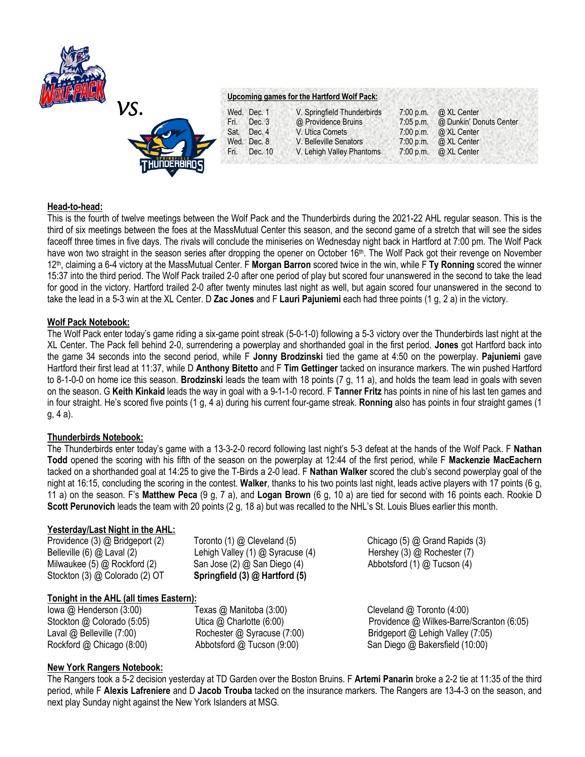



# **Upcoming games for the Hartford Wolf Pack:**

|      | Wed. Dec. 1 | V. Springfield Thunderbirds | $7:00$ p.m. | @ XL Center             |
|------|-------------|-----------------------------|-------------|-------------------------|
| Fri. | Dec. 3      | @ Providence Bruins         | $7:05$ p.m. | @ Dunkin' Donuts Center |
| Sat. | Dec. 4      | V. Utica Comets             | $7:00$ p.m. | @ XL Center             |
|      | Wed. Dec. 8 | V. Belleville Senators      | 7:00 p.m.   | @ XL Center             |
| Fri. | Dec. 10     | V. Lehigh Valley Phantoms   | $7:00$ p.m. | @ XL Center             |
|      |             |                             |             |                         |

### **Head-to-head:**

This is the fourth of twelve meetings between the Wolf Pack and the Thunderbirds during the 2021-22 AHL regular season. This is the third of six meetings between the foes at the MassMutual Center this season, and the second game of a stretch that will see the sides faceoff three times in five days. The rivals will conclude the miniseries on Wednesday night back in Hartford at 7:00 pm. The Wolf Pack have won two straight in the season series after dropping the opener on October 16<sup>th</sup>. The Wolf Pack got their revenge on November 12th , claiming a 6-4 victory at the MassMutual Center. F **Morgan Barron** scored twice in the win, while F **Ty Ronning** scored the winner 15:37 into the third period. The Wolf Pack trailed 2-0 after one period of play but scored four unanswered in the second to take the lead for good in the victory. Hartford trailed 2-0 after twenty minutes last night as well, but again scored four unanswered in the second to take the lead in a 5-3 win at the XL Center. D **Zac Jones** and F **Lauri Pajuniemi** each had three points (1 g, 2 a) in the victory.

### **Wolf Pack Notebook:**

The Wolf Pack enter today's game riding a six-game point streak (5-0-1-0) following a 5-3 victory over the Thunderbirds last night at the XL Center. The Pack fell behind 2-0, surrendering a powerplay and shorthanded goal in the first period. **Jones** got Hartford back into the game 34 seconds into the second period, while F **Jonny Brodzinski** tied the game at 4:50 on the powerplay. **Pajuniemi** gave Hartford their first lead at 11:37, while D **Anthony Bitetto** and F **Tim Gettinger** tacked on insurance markers. The win pushed Hartford to 8-1-0-0 on home ice this season. **Brodzinski** leads the team with 18 points (7 g, 11 a), and holds the team lead in goals with seven on the season. G **Keith Kinkaid** leads the way in goal with a 9-1-1-0 record. F **Tanner Fritz** has points in nine of his last ten games and in four straight. He's scored five points (1 g, 4 a) during his current four-game streak. **Ronning** also has points in four straight games (1 g, 4 a).

#### **Thunderbirds Notebook:**

The Thunderbirds enter today's game with a 13-3-2-0 record following last night's 5-3 defeat at the hands of the Wolf Pack. F **Nathan Todd** opened the scoring with his fifth of the season on the powerplay at 12:44 of the first period, while F **Mackenzie MacEachern**  tacked on a shorthanded goal at 14:25 to give the T-Birds a 2-0 lead. F **Nathan Walker** scored the club's second powerplay goal of the night at 16:15, concluding the scoring in the contest. **Walker**, thanks to his two points last night, leads active players with 17 points (6 g, 11 a) on the season. F's **Matthew Peca** (9 g, 7 a), and **Logan Brown** (6 g, 10 a) are tied for second with 16 points each. Rookie D **Scott Perunovich** leads the team with 20 points (2 g, 18 a) but was recalled to the NHL's St. Louis Blues earlier this month.

## **Yesterday/Last Night in the AHL:**

Providence (3) @ Bridgeport (2) **Toronto (1) @ Cleveland (5)** Chicago (5) @ Grand Rapids (3) Belleville (6) @ Laval (2) *Lehigh Valley (1) @ Syracuse (4) Hershey (3) @ Rochester (7)* Milwaukee (5) @ Rockford (2) San Jose (2) @ San Diego (4) Abbotsford (1) @ Tucson (4) Stockton (3) @ Colorado (2) OT **Springfield (3) @ Hartford (5)**

**Tonight in the AHL (all times Eastern):**

Iowa @ Henderson (3:00)Texas @ Manitoba (3:00) Cleveland @ Toronto (4:00)

Stockton @ Colorado (5:05) *Utica @ Charlotte (6:00)* Providence @ Wilkes-Barre/Scranton (6:05) Laval @ Belleville (7:00) Rochester @ Syracuse (7:00) Bridgeport @ Lehigh Valley (7:05) Rockford @ Chicago (8:00) Abbotsford @ Tucson (9:00) San Diego @ Bakersfield (10:00)

## **New York Rangers Notebook:**

The Rangers took a 5-2 decision yesterday at TD Garden over the Boston Bruins. F **Artemi Panarin** broke a 2-2 tie at 11:35 of the third period, while F **Alexis Lafreniere** and D **Jacob Trouba** tacked on the insurance markers. The Rangers are 13-4-3 on the season, and next play Sunday night against the New York Islanders at MSG.